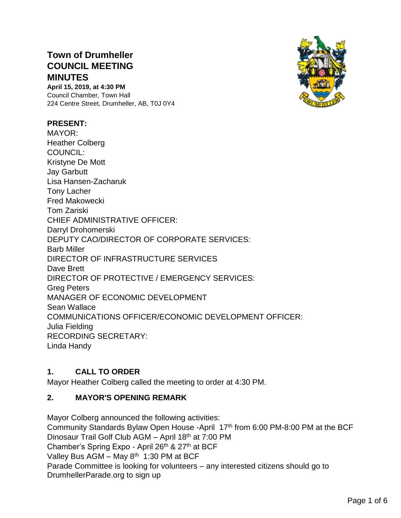# **Town of Drumheller COUNCIL MEETING MINUTES**

**April 15, 2019, at 4:30 PM** Council Chamber, Town Hall 224 Centre Street, Drumheller, AB, T0J 0Y4

#### **PRESENT:**

MAYOR: Heather Colberg COUNCIL: Kristyne De Mott Jay Garbutt Lisa Hansen-Zacharuk Tony Lacher Fred Makowecki Tom Zariski CHIEF ADMINISTRATIVE OFFICER: Darryl Drohomerski DEPUTY CAO/DIRECTOR OF CORPORATE SERVICES: Barb Miller DIRECTOR OF INFRASTRUCTURE SERVICES Dave Brett DIRECTOR OF PROTECTIVE / EMERGENCY SERVICES: Greg Peters MANAGER OF ECONOMIC DEVELOPMENT Sean Wallace COMMUNICATIONS OFFICER/ECONOMIC DEVELOPMENT OFFICER: Julia Fielding RECORDING SECRETARY: Linda Handy

### **1. CALL TO ORDER**

Mayor Heather Colberg called the meeting to order at 4:30 PM.

### **2. MAYOR'S OPENING REMARK**

Mayor Colberg announced the following activities: Community Standards Bylaw Open House -April 17<sup>th</sup> from 6:00 PM-8:00 PM at the BCF Dinosaur Trail Golf Club AGM – April 18th at 7:00 PM Chamber's Spring Expo - April 26<sup>th</sup> & 27<sup>th</sup> at BCF Valley Bus AGM - May 8<sup>th</sup> 1:30 PM at BCF Parade Committee is looking for volunteers – any interested citizens should go to DrumhellerParade.org to sign up

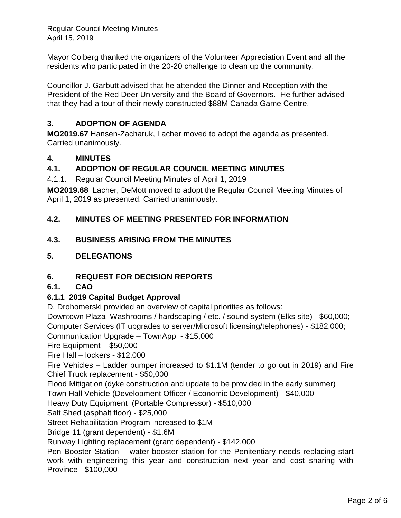Regular Council Meeting Minutes April 15, 2019

Mayor Colberg thanked the organizers of the Volunteer Appreciation Event and all the residents who participated in the 20-20 challenge to clean up the community.

Councillor J. Garbutt advised that he attended the Dinner and Reception with the President of the Red Deer University and the Board of Governors. He further advised that they had a tour of their newly constructed \$88M Canada Game Centre.

# **3. ADOPTION OF AGENDA**

**MO2019.67** Hansen-Zacharuk, Lacher moved to adopt the agenda as presented. Carried unanimously.

### **4. MINUTES**

### **4.1. ADOPTION OF REGULAR COUNCIL MEETING MINUTES**

4.1.1. Regular Council Meeting Minutes of April 1, 2019

**MO2019.68** Lacher, DeMott moved to adopt the Regular Council Meeting Minutes of April 1, 2019 as presented. Carried unanimously.

### **4.2. MINUTES OF MEETING PRESENTED FOR INFORMATION**

### **4.3. BUSINESS ARISING FROM THE MINUTES**

#### **5. DELEGATIONS**

### **6. REQUEST FOR DECISION REPORTS**

#### **6.1. CAO**

### **6.1.1 2019 Capital Budget Approval**

D. Drohomerski provided an overview of capital priorities as follows:

Downtown Plaza–Washrooms / hardscaping / etc. / sound system (Elks site) - \$60,000; Computer Services (IT upgrades to server/Microsoft licensing/telephones) - \$182,000;

Communication Upgrade – TownApp - \$15,000

Fire Equipment – \$50,000

Fire Hall – lockers - \$12,000

Fire Vehicles – Ladder pumper increased to \$1.1M (tender to go out in 2019) and Fire Chief Truck replacement - \$50,000

Flood Mitigation (dyke construction and update to be provided in the early summer)

Town Hall Vehicle (Development Officer / Economic Development) - \$40,000

Heavy Duty Equipment (Portable Compressor) - \$510,000

Salt Shed (asphalt floor) - \$25,000

Street Rehabilitation Program increased to \$1M

Bridge 11 (grant dependent) - \$1.6M

Runway Lighting replacement (grant dependent) - \$142,000

Pen Booster Station – water booster station for the Penitentiary needs replacing start work with engineering this year and construction next year and cost sharing with Province - \$100,000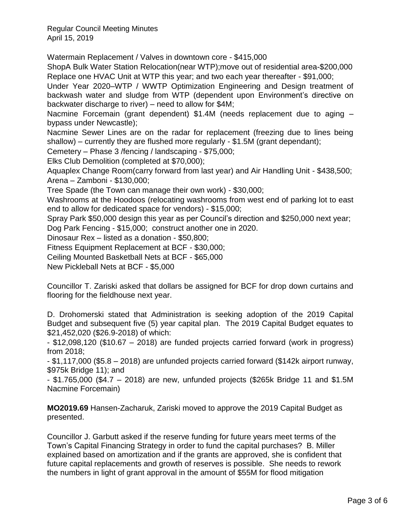Regular Council Meeting Minutes April 15, 2019

Watermain Replacement / Valves in downtown core - \$415,000

ShopA Bulk Water Station Relocation(near WTP);move out of residential area-\$200,000 Replace one HVAC Unit at WTP this year; and two each year thereafter - \$91,000;

Under Year 2020–WTP / WWTP Optimization Engineering and Design treatment of backwash water and sludge from WTP (dependent upon Environment's directive on backwater discharge to river) – need to allow for \$4M;

Nacmine Forcemain (grant dependent) \$1.4M (needs replacement due to aging – bypass under Newcastle);

Nacmine Sewer Lines are on the radar for replacement (freezing due to lines being shallow) – currently they are flushed more regularly - \$1.5M (grant dependant);

Cemetery – Phase 3 /fencing / landscaping - \$75,000;

Elks Club Demolition (completed at \$70,000);

Aquaplex Change Room(carry forward from last year) and Air Handling Unit - \$438,500; Arena – Zamboni - \$130,000;

Tree Spade (the Town can manage their own work) - \$30,000;

Washrooms at the Hoodoos (relocating washrooms from west end of parking lot to east end to allow for dedicated space for vendors) - \$15,000;

Spray Park \$50,000 design this year as per Council's direction and \$250,000 next year;

Dog Park Fencing - \$15,000; construct another one in 2020.

Dinosaur Rex – listed as a donation - \$50,800;

Fitness Equipment Replacement at BCF - \$30,000;

Ceiling Mounted Basketball Nets at BCF - \$65,000

New Pickleball Nets at BCF - \$5,000

Councillor T. Zariski asked that dollars be assigned for BCF for drop down curtains and flooring for the fieldhouse next year.

D. Drohomerski stated that Administration is seeking adoption of the 2019 Capital Budget and subsequent five (5) year capital plan. The 2019 Capital Budget equates to \$21,452,020 (\$26.9-2018) of which:

- \$12,098,120 (\$10.67 – 2018) are funded projects carried forward (work in progress) from 2018;

- \$1,117,000 (\$5.8 – 2018) are unfunded projects carried forward (\$142k airport runway, \$975k Bridge 11); and

- \$1.765,000 (\$4.7 – 2018) are new, unfunded projects (\$265k Bridge 11 and \$1.5M Nacmine Forcemain)

**MO2019.69** Hansen-Zacharuk, Zariski moved to approve the 2019 Capital Budget as presented.

Councillor J. Garbutt asked if the reserve funding for future years meet terms of the Town's Capital Financing Strategy in order to fund the capital purchases? B. Miller explained based on amortization and if the grants are approved, she is confident that future capital replacements and growth of reserves is possible. She needs to rework the numbers in light of grant approval in the amount of \$55M for flood mitigation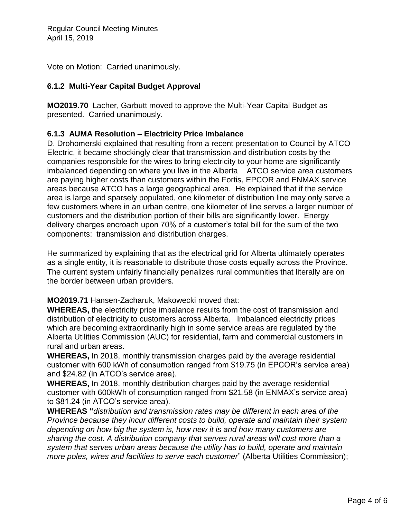Vote on Motion: Carried unanimously.

## **6.1.2 Multi-Year Capital Budget Approval**

**MO2019.70** Lacher, Garbutt moved to approve the Multi-Year Capital Budget as presented. Carried unanimously.

#### **6.1.3 AUMA Resolution – Electricity Price Imbalance**

D. Drohomerski explained that resulting from a recent presentation to Council by ATCO Electric, it became shockingly clear that transmission and distribution costs by the companies responsible for the wires to bring electricity to your home are significantly imbalanced depending on where you live in the Alberta ATCO service area customers are paying higher costs than customers within the Fortis, EPCOR and ENMAX service areas because ATCO has a large geographical area. He explained that if the service area is large and sparsely populated, one kilometer of distribution line may only serve a few customers where in an urban centre, one kilometer of line serves a larger number of customers and the distribution portion of their bills are significantly lower. Energy delivery charges encroach upon 70% of a customer's total bill for the sum of the two components: transmission and distribution charges.

He summarized by explaining that as the electrical grid for Alberta ultimately operates as a single entity, it is reasonable to distribute those costs equally across the Province. The current system unfairly financially penalizes rural communities that literally are on the border between urban providers.

**MO2019.71** Hansen-Zacharuk, Makowecki moved that:

**WHEREAS,** the electricity price imbalance results from the cost of transmission and distribution of electricity to customers across Alberta. Imbalanced electricity prices which are becoming extraordinarily high in some service areas are regulated by the Alberta Utilities Commission (AUC) for residential, farm and commercial customers in rural and urban areas.

**WHEREAS,** In 2018, monthly transmission charges paid by the average residential customer with 600 kWh of consumption ranged from \$19.75 (in EPCOR's service area) and \$24.82 (in ATCO's service area).

**WHEREAS,** In 2018, monthly distribution charges paid by the average residential customer with 600kWh of consumption ranged from \$21.58 (in ENMAX's service area) to \$81.24 (in ATCO's service area).

**WHEREAS "***distribution and transmission rates may be different in each area of the Province because they incur different costs to build, operate and maintain their system depending on how big the system is, how new it is and how many customers are sharing the cost. A distribution company that serves rural areas will cost more than a system that serves urban areas because the utility has to build, operate and maintain more poles, wires and facilities to serve each customer*" (Alberta Utilities Commission);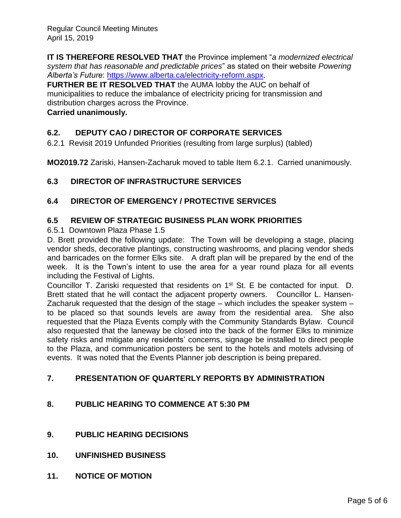**IT IS THEREFORE RESOLVED THAT** the Province implement "*a modernized electrical system that has reasonable and predictable prices*" as stated on their website *Powering Alberta's Future*: [https://www.alberta.ca/electricity-reform.aspx.](https://www.alberta.ca/electricity-reform.aspx)

**FURTHER BE IT RESOLVED THAT** the AUMA lobby the AUC on behalf of municipalities to reduce the imbalance of electricity pricing for transmission and distribution charges across the Province.

#### **Carried unanimously.**

# **6.2. DEPUTY CAO / DIRECTOR OF CORPORATE SERVICES**

6.2.1 Revisit 2019 Unfunded Priorities (resulting from large surplus) (tabled)

**MO2019.72** Zariski, Hansen-Zacharuk moved to table Item 6.2.1. Carried unanimously.

### **6.3 DIRECTOR OF INFRASTRUCTURE SERVICES**

### **6.4 DIRECTOR OF EMERGENCY / PROTECTIVE SERVICES**

### **6.5 REVIEW OF STRATEGIC BUSINESS PLAN WORK PRIORITIES**

6.5.1 Downtown Plaza Phase 1.5

D. Brett provided the following update: The Town will be developing a stage, placing vendor sheds, decorative plantings, constructing washrooms, and placing vendor sheds and barricades on the former Elks site. A draft plan will be prepared by the end of the week. It is the Town's intent to use the area for a year round plaza for all events including the Festival of Lights.

Councillor T. Zariski requested that residents on 1<sup>st</sup> St. E be contacted for input. D. Brett stated that he will contact the adjacent property owners. Councillor L. Hansen-Zacharuk requested that the design of the stage – which includes the speaker system – to be placed so that sounds levels are away from the residential area. She also requested that the Plaza Events comply with the Community Standards Bylaw. Council also requested that the laneway be closed into the back of the former Elks to minimize safety risks and mitigate any residents' concerns, signage be installed to direct people to the Plaza, and communication posters be sent to the hotels and motels advising of events. It was noted that the Events Planner job description is being prepared.

### **7. PRESENTATION OF QUARTERLY REPORTS BY ADMINISTRATION**

### **8. PUBLIC HEARING TO COMMENCE AT 5:30 PM**

- **9. PUBLIC HEARING DECISIONS**
- **10. UNFINISHED BUSINESS**
- **11. NOTICE OF MOTION**